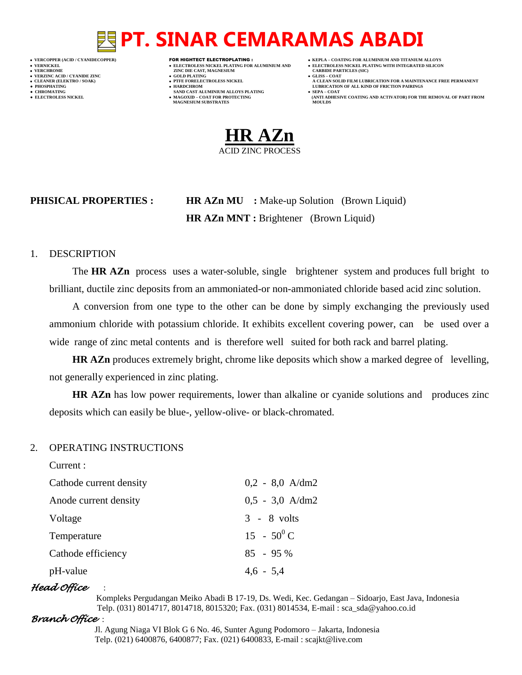- 
- 
- 

- **VERFORM ZINC DIE CAST, MAGNESIUM CARBIDE PARTICLES (SIC)**<br> **CARBIDE PARTING**
- **VERZINC ACID / CYANIDE ZINC GOLD PLATING GLISS – COAT**
	-
- **● CHROMATING SAND CAST ALUMINIUM ALLOYS PLATING SEPA – COAT • MAGOXID – COAT FOR PROTECTING<br>MAGNESIUM SUBSTRATES** 
	-
- **VERCOPPER (ACID / CYANIDECOPPER)** FOR HIGHTECT ELECTROPLATING :  **KEPLA – COATING FOR ALUMINIUM AND TITANIUM ALLOYS**
- **VERNICKEL ELECTROLESS NICKEL PLATING FOR ALUMINIUM AND ELECTROLESS NICKEL PLATING WITH INTEGRATED SILICON**
	-
- **CLEANER (ELEKTRO / SOAK) PTFE FORELECTROLESS NICKEL A CLEAN SOLID FILM LUBRICATION FOR A MAINTENANCE FREE PERMANENT ● PHOSPHATING HARDCHROM LUBRICATION OF ALL KIND OF FRICTION PAIRINGS** 
	- **ELECTROLESS AND ACTIVATOR) FOR THE REMOVAL OF PART FROM (ANTI ADHESIVE COATING AND ACTIVATOR) FOR THE REMOVAL OF PART FROM <b>MOULDS**



**PHISICAL PROPERTIES : HR AZn MU :** Make-up Solution (Brown Liquid) **HR AZn MNT :** Brightener (Brown Liquid)

#### 1. DESCRIPTION

The **HR AZn** process uses a water-soluble, single brightener system and produces full bright to brilliant, ductile zinc deposits from an ammoniated-or non-ammoniated chloride based acid zinc solution.

A conversion from one type to the other can be done by simply exchanging the previously used ammonium chloride with potassium chloride. It exhibits excellent covering power, can be used over a wide range of zinc metal contents and is therefore well suited for both rack and barrel plating.

**HR AZn** produces extremely bright, chrome like deposits which show a marked degree of levelling, not generally experienced in zinc plating.

**HR AZn** has low power requirements, lower than alkaline or cyanide solutions and produces zinc deposits which can easily be blue-, yellow-olive- or black-chromated.

#### 2. OPERATING INSTRUCTIONS

| Current :               |                   |
|-------------------------|-------------------|
| Cathode current density | $0.2 - 8.0$ A/dm2 |
| Anode current density   | $0.5 - 3.0$ A/dm2 |
| Voltage                 | $3 - 8$ volts     |
| Temperature             | $15 - 50^0$ C     |
| Cathode efficiency      | $85 - 95\%$       |
| pH-value                | $4,6 - 5,4$       |
|                         |                   |

### *Head Office* :

 Kompleks Pergudangan Meiko Abadi B 17-19, Ds. Wedi, Kec. Gedangan – Sidoarjo, East Java, Indonesia Telp. (031) 8014717, 8014718, 8015320; Fax. (031) 8014534, E-mail : sca\_sda@yahoo.co.id

### *Branch Office* :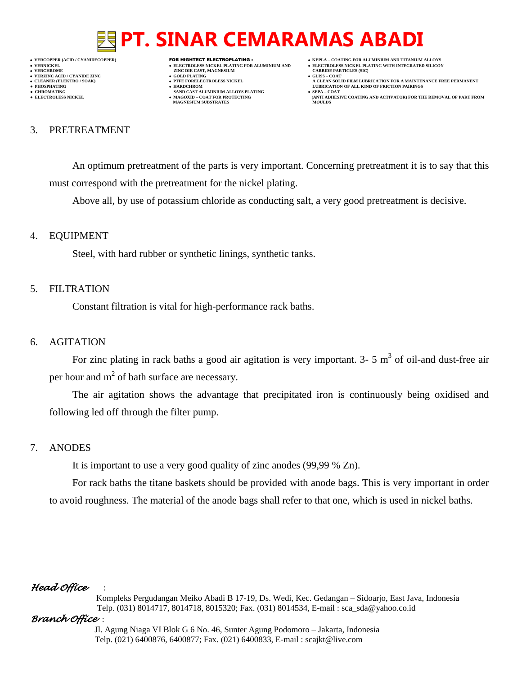**VERNICKEL ELECTROLESS NICKEL PLATING FOR ALUMINIUM AND ELECTROLESS NICKEL PLATING WITH INTEGRATED SILICON**

- 
- 

**VERFORM ZINC DIE CAST, MAGNESIUM CARBIDE PARTICLES (SIC)**<br> **CARBIDE PARTING** 

- **VERZINC ACID / CYANIDE ZINC GOLD PLATING GLISS – COAT**
	-
- **● CHROMATING SAND CAST ALUMINIUM ALLOYS PLATING SEPA – COAT • MAGOXID – COAT FOR PROTECTING<br>MAGNESIUM SUBSTRATES**
- **VERCOPPER (ACID / CYANIDECOPPER)** FOR HIGHTECT ELECTROPLATING :  **KEPLA – COATING FOR ALUMINIUM AND TITANIUM ALLOYS**
	-
- **CLEANER (ELEKTRO / SOAK) PTFE FORELECTROLESS NICKEL A CLEAN SOLID FILM LUBRICATION FOR A MAINTENANCE FREE PERMANENT**
- **PHOSPHATING HARDCHROM LUBRICATION OF ALL KIND OF FRICTION PAIRINGS ELECTROLESS AND ACTIVATOR) FOR THE REMOVAL OF PART FROM (ANTI ADHESIVE COATING AND ACTIVATOR) FOR THE REMOVAL OF PART FROM <b>MOULDS**

#### 3. PRETREATMENT

An optimum pretreatment of the parts is very important. Concerning pretreatment it is to say that this must correspond with the pretreatment for the nickel plating.

Above all, by use of potassium chloride as conducting salt, a very good pretreatment is decisive.

#### 4. EQUIPMENT

Steel, with hard rubber or synthetic linings, synthetic tanks.

#### 5. FILTRATION

Constant filtration is vital for high-performance rack baths.

#### 6. AGITATION

For zinc plating in rack baths a good air agitation is very important.  $3-5 \text{ m}^3$  of oil-and dust-free air per hour and  $m^2$  of bath surface are necessary.

The air agitation shows the advantage that precipitated iron is continuously being oxidised and following led off through the filter pump.

### 7. ANODES

It is important to use a very good quality of zinc anodes (99,99 % Zn).

For rack baths the titane baskets should be provided with anode bags. This is very important in order to avoid roughness. The material of the anode bags shall refer to that one, which is used in nickel baths.

### *Head Office* :

 Kompleks Pergudangan Meiko Abadi B 17-19, Ds. Wedi, Kec. Gedangan – Sidoarjo, East Java, Indonesia Telp. (031) 8014717, 8014718, 8015320; Fax. (031) 8014534, E-mail : sca\_sda@yahoo.co.id

### *Branch Office* :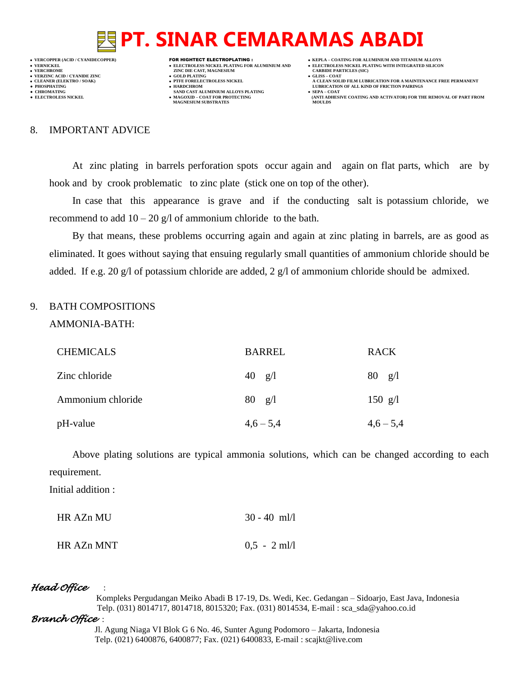**VERCOPPER (ACID / CYANIDECOPPER)** FOR HIGHTECT ELECTROPLATING :  **KEPLA – COATING FOR ALUMINIUM AND TITANIUM ALLOYS VERNICKEL ELECTROLESS NICKEL PLATING FOR ALUMINIUM AND ELECTROLESS NICKEL PLATING WITH INTEGRATED SILICON VERZINC ACID / CYANIDE ZINC GOLD PLATING GLISS – COAT**

- 
- **VERFORM ZINC DIE CAST, MAGNESIUM CARBIDE PARTICLES (SIC)**<br> **CARBIDE PARTING**
- 
- 
- **•** CHROMATING **CHROMATING • CHROMATING • CHROMATING • CHROMATING • CHROMATING • MAGOXID COAT** FOR PROTECTING **MAGNESIUM SUBSTRATES**
- -
- **CLEANER (ELEKTRO / SOAK) PTFE FORELECTROLESS NICKEL A CLEAN SOLID FILM LUBRICATION FOR A MAINTENANCE FREE PERMANENT**
- **PHOSPHATING HARDCHROM LUBRICATION OF ALL KIND OF FRICTION PAIRINGS** 
	- **ELECTROLESS AND ACTIVATOR) FOR THE REMOVAL OF PART FROM (ANTI ADHESIVE COATING AND ACTIVATOR) FOR THE REMOVAL OF PART FROM <b>MOULDS**

#### 8. IMPORTANT ADVICE

At zinc plating in barrels perforation spots occur again and again on flat parts, which are by hook and by crook problematic to zinc plate (stick one on top of the other).

In case that this appearance is grave and if the conducting salt is potassium chloride, we recommend to add  $10 - 20$  g/l of ammonium chloride to the bath.

By that means, these problems occurring again and again at zinc plating in barrels, are as good as eliminated. It goes without saying that ensuing regularly small quantities of ammonium chloride should be added. If e.g. 20 g/l of potassium chloride are added, 2 g/l of ammonium chloride should be admixed.

#### 9. BATH COMPOSITIONS

AMMONIA-BATH:

| <b>CHEMICALS</b>  | <b>BARREL</b>    | <b>RACK</b>             |
|-------------------|------------------|-------------------------|
| Zinc chloride     | 40 $g/l$         | $80 \text{ g}/\text{l}$ |
| Ammonium chloride | $80 \frac{g}{1}$ | 150 $g/l$               |
| pH-value          | $4,6-5,4$        | $4,6-5,4$               |

Above plating solutions are typical ammonia solutions, which can be changed according to each requirement.

Initial addition :

| HR AZn MU- | $30 - 40$ ml/l |
|------------|----------------|
| HR AZn MNT | $0.5 - 2$ ml/l |

### *Head Office* :

 Kompleks Pergudangan Meiko Abadi B 17-19, Ds. Wedi, Kec. Gedangan – Sidoarjo, East Java, Indonesia Telp. (031) 8014717, 8014718, 8015320; Fax. (031) 8014534, E-mail : sca\_sda@yahoo.co.id

### *Branch Office* :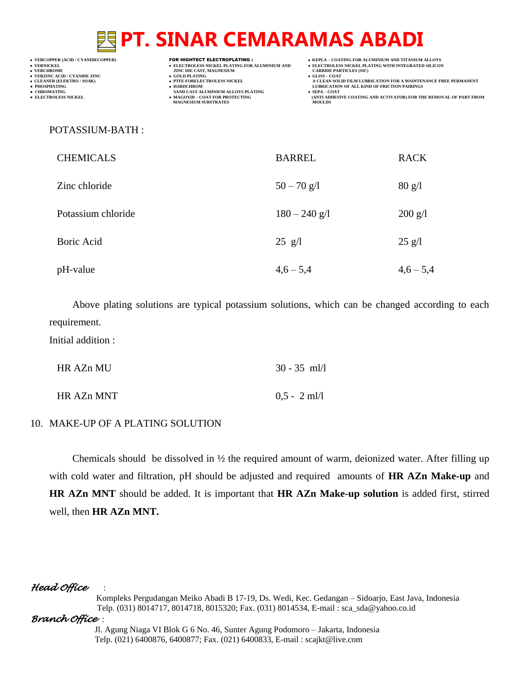- 
- -

- **VERT ASSESSED ASSESSED ASSESSED ASSESSED ASSESSED ASSESSED ASSESSED ASSESSED ASSESSED ASSESSED ASSESSED ASSESSED ASSESSED ASSESSED ASSESSED ASSESSED ASSESSED ASSESSED ASSESSED ASSESSED ASSESSED ASSESSED ASSESSED ASSESSED**
- **VERZINC ACID / CYANIDE ZINC GOLD PLATING GLISS – COAT**
	-
- **● CHROMATING SAND CAST ALUMINIUM ALLOYS PLATING SEPA – COAT MAGNESIUM SUBSTRATES MOULDS**
- **VERCOPPER (ACID / CYANIDECOPPER)** FOR HIGHTECT ELECTROPLATING :  **KEPLA – COATING FOR ALUMINIUM AND TITANIUM ALLOYS**
- **VERNICKEL ELECTROLESS NICKEL PLATING FOR ALUMINIUM AND ELECTROLESS NICKEL PLATING WITH INTEGRATED SILICON**
	-
- **CLEANER (ELEKTRO / SOAK) PTFE FORELECTROLESS NICKEL A CLEAN SOLID FILM LUBRICATION FOR A MAINTENANCE FREE PERMANENT ● PHOSPHATING HARDCHROM LUBRICATION OF ALL KIND OF FRICTION PAIRINGS**
- **● ELECTROLESS NICKEL MAGOXID – COAT FOR PROTECTING (ANTI ADHESIVE COATING AND ACTIVATOR) FOR THE REMOVAL OF PART FROM**

#### POTASSIUM-BATH :

| <b>CHEMICALS</b>   | <b>BARREL</b>   | <b>RACK</b>             |
|--------------------|-----------------|-------------------------|
| Zinc chloride      | $50 - 70$ g/l   | $80 \text{ g}/\text{l}$ |
| Potassium chloride | $180 - 240$ g/l | $200 \text{ g}/1$       |
| Boric Acid         | $25$ g/l        | $25$ g/l                |
| pH-value           | $4,6 - 5,4$     | $4,6 - 5,4$             |

Above plating solutions are typical potassium solutions, which can be changed according to each requirement.

Initial addition :

| HR AZn MU  | $30 - 35$ ml/l |
|------------|----------------|
| HR AZn MNT | $0.5 - 2$ ml/l |

### 10. MAKE-UP OF A PLATING SOLUTION

Chemicals should be dissolved in ½ the required amount of warm, deionized water. After filling up with cold water and filtration, pH should be adjusted and required amounts of **HR AZn Make-up** and **HR AZn MNT** should be added. It is important that **HR AZn Make-up solution** is added first, stirred well, then **HR AZn MNT.**

### *Head Office* :

 Kompleks Pergudangan Meiko Abadi B 17-19, Ds. Wedi, Kec. Gedangan – Sidoarjo, East Java, Indonesia Telp. (031) 8014717, 8014718, 8015320; Fax. (031) 8014534, E-mail : sca\_sda@yahoo.co.id

### *Branch Office* :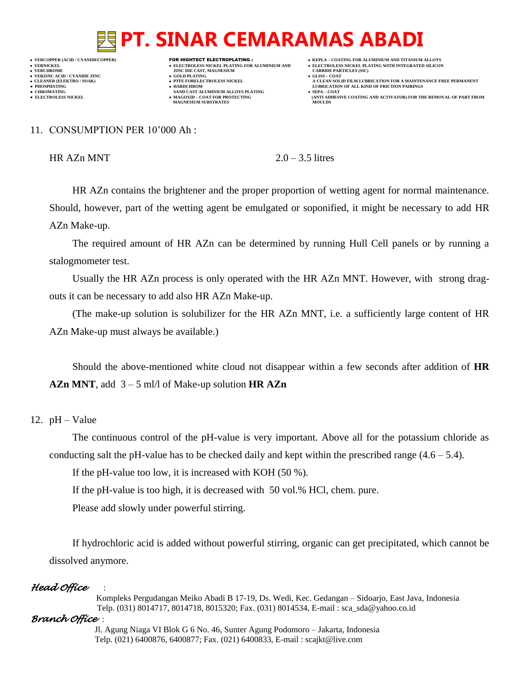**VERCOPPER (ACID / CYANIDECOPPER)** FOR HIGHTECT ELECTROPLATING :  **KEPLA – COATING FOR ALUMINIUM AND TITANIUM ALLOYS VERZINC ACID / CYANIDE ZINC GOLD PLATING GLISS – COAT**

- 
- 

- **VERFORM ZINC DIE CAST, MAGNESIUM CARBIDE PARTICLES (SIC)**<br> **CARBIDE PARTING**
- 
- 
- **CHROMATING SAND CAST ALUMINIUM ALLOYS PLATING**<br>• **ELECTROLESS NICKEL**<br>• **MAGOXID COAT FOR PROTECTING • MAGOXID – COAT FOR PROTECTING<br>MAGNESIUM SUBSTRATES**
- 
- **VERNICKEL ELECTROLESS NICKEL PLATING FOR ALUMINIUM AND ELECTROLESS NICKEL PLATING WITH INTEGRATED SILICON**
	-
- **CLEANER (ELEKTRO / SOAK) PTFE FORELECTROLESS NICKEL A CLEAN SOLID FILM LUBRICATION FOR A MAINTENANCE FREE PERMANENT ● PHOSPHATING HARDCHROM LUBRICATION OF ALL KIND OF FRICTION PAIRINGS** 
	- **ELECTROLESS AND ACTIVATOR) FOR THE REMOVAL OF PART FROM (ANTI ADHESIVE COATING AND ACTIVATOR) FOR THE REMOVAL OF PART FROM <b>MOULDS**

#### 11. CONSUMPTION PER 10'000 Ah :

HR  $AZn$  MNT  $2.0-3.5$  litres

HR AZn contains the brightener and the proper proportion of wetting agent for normal maintenance. Should, however, part of the wetting agent be emulgated or soponified, it might be necessary to add HR AZn Make-up.

The required amount of HR AZn can be determined by running Hull Cell panels or by running a stalogmometer test.

Usually the HR AZn process is only operated with the HR AZn MNT. However, with strong dragouts it can be necessary to add also HR AZn Make-up.

(The make-up solution is solubilizer for the HR AZn MNT, i.e. a sufficiently large content of HR AZn Make-up must always be available.)

Should the above-mentioned white cloud not disappear within a few seconds after addition of **HR AZn MNT**, add 3 – 5 ml/l of Make-up solution **HR AZn**

### 12.  $pH - Value$

The continuous control of the pH-value is very important. Above all for the potassium chloride as conducting salt the pH-value has to be checked daily and kept within the prescribed range  $(4.6 - 5.4)$ .

If the pH-value too low, it is increased with KOH (50 %).

If the pH-value is too high, it is decreased with 50 vol.% HCl, chem. pure.

Please add slowly under powerful stirring.

If hydrochloric acid is added without powerful stirring, organic can get precipitated, which cannot be dissolved anymore.

### *Head Office* :

 Kompleks Pergudangan Meiko Abadi B 17-19, Ds. Wedi, Kec. Gedangan – Sidoarjo, East Java, Indonesia Telp. (031) 8014717, 8014718, 8015320; Fax. (031) 8014534, E-mail : sca\_sda@yahoo.co.id

### *Branch Office* :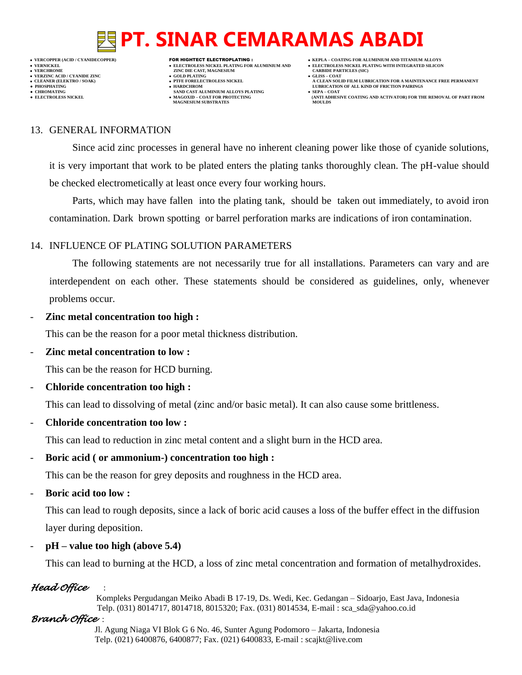**VERNICKEL ELECTROLESS NICKEL PLATING FOR ALUMINIUM AND ELECTROLESS NICKEL PLATING WITH INTEGRATED SILICON**

**VERFORM ZINC DIE CAST, MAGNESIUM CARBIDE PARTICLES (SIC)**<br> **CARBIDE PARTING** 

- **VERZINC ACID / CYANIDE ZINC GOLD PLATING GLISS – COAT**
	-
- **• CHROMATING • CHROMATING • CHROMATING • CHROMATING • CHROMATING • CHROMATING • MAGOXID COAT FOR PROTECTING MAGNESIUM SUBSTRATES**
- **VERCOPPER (ACID / CYANIDECOPPER)** FOR HIGHTECT ELECTROPLATING :  **KEPLA – COATING FOR ALUMINIUM AND TITANIUM ALLOYS**
	-
- **CLEANER (ELEKTRO / SOAK) PTFE FORELECTROLESS NICKEL A CLEAN SOLID FILM LUBRICATION FOR A MAINTENANCE FREE PERMANENT ● PHOSPHATING HARDCHROM LUBRICATION OF ALL KIND OF FRICTION PAIRINGS** 
	- **ELECTROLESS AND ACTIVATOR) FOR THE REMOVAL OF PART FROM (ANTI ADHESIVE COATING AND ACTIVATOR) FOR THE REMOVAL OF PART FROM <b>MOULDS**

### 13. GENERAL INFORMATION

Since acid zinc processes in general have no inherent cleaning power like those of cyanide solutions, it is very important that work to be plated enters the plating tanks thoroughly clean. The pH-value should be checked electrometically at least once every four working hours.

Parts, which may have fallen into the plating tank, should be taken out immediately, to avoid iron contamination. Dark brown spotting or barrel perforation marks are indications of iron contamination.

## 14. INFLUENCE OF PLATING SOLUTION PARAMETERS

The following statements are not necessarily true for all installations. Parameters can vary and are interdependent on each other. These statements should be considered as guidelines, only, whenever problems occur.

### - **Zinc metal concentration too high :**

This can be the reason for a poor metal thickness distribution.

- **Zinc metal concentration to low :**

This can be the reason for HCD burning.

- **Chloride concentration too high :**

This can lead to dissolving of metal (zinc and/or basic metal). It can also cause some brittleness.

- **Chloride concentration too low :**

This can lead to reduction in zinc metal content and a slight burn in the HCD area.

- **Boric acid ( or ammonium-) concentration too high :**

This can be the reason for grey deposits and roughness in the HCD area.

- **Boric acid too low :**

This can lead to rough deposits, since a lack of boric acid causes a loss of the buffer effect in the diffusion layer during deposition.

- **pH – value too high (above 5.4)**

This can lead to burning at the HCD, a loss of zinc metal concentration and formation of metalhydroxides.

## *Head Office* :

 Kompleks Pergudangan Meiko Abadi B 17-19, Ds. Wedi, Kec. Gedangan – Sidoarjo, East Java, Indonesia Telp. (031) 8014717, 8014718, 8015320; Fax. (031) 8014534, E-mail : sca\_sda@yahoo.co.id

## *Branch Office* :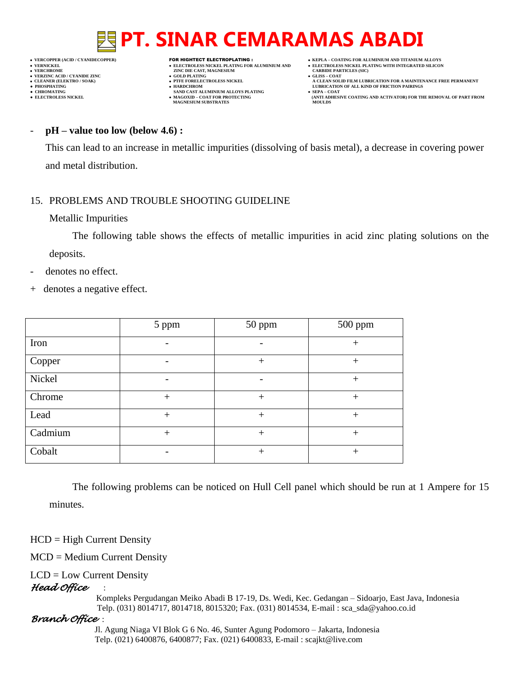- 
- 
- 

- **VERT ASSESSED ASSESSED ASSESSED ASSESSED ASSESSED ASSESSED ASSESSED ASSESSED ASSESSED ASSESSED ASSESSED ASSESSED ASSESSED ASSESSED ASSESSED ASSESSED ASSESSED ASSESSED ASSESSED ASSESSED ASSESSED ASSESSED ASSESSED ASSESSED VERZINC ACID / CYANIDE ZINC GOLD PLATING GLISS – COAT**
	-
- **PHOSPHATING HARDCHROM LUBRICATION OF ALL KIND OF FRICTION PAIRINGS ● CHROMATING SAND CAST ALUMINIUM ALLOYS PLATING SEPA – COAT MAGNESIUM SUBSTRATES MOULDS**
- **VERCOPPER (ACID / CYANIDECOPPER)** FOR HIGHTECT ELECTROPLATING :  **KEPLA – COATING FOR ALUMINIUM AND TITANIUM ALLOYS**
- **VERNICKEL ELECTROLESS NICKEL PLATING FOR ALUMINIUM AND ELECTROLESS NICKEL PLATING WITH INTEGRATED SILICON**
	-
- **CLEANER (ELEKTRO / SOAK) PTFE FORELECTROLESS NICKEL A CLEAN SOLID FILM LUBRICATION FOR A MAINTENANCE FREE PERMANENT**
- **● ELECTROLESS NICKEL MAGOXID – COAT FOR PROTECTING (ANTI ADHESIVE COATING AND ACTIVATOR) FOR THE REMOVAL OF PART FROM**

#### - **pH – value too low (below 4.6) :**

This can lead to an increase in metallic impurities (dissolving of basis metal), a decrease in covering power and metal distribution.

### 15. PROBLEMS AND TROUBLE SHOOTING GUIDELINE

#### Metallic Impurities

The following table shows the effects of metallic impurities in acid zinc plating solutions on the deposits.

- denotes no effect.
- + denotes a negative effect.

|         | 5 ppm  | 50 ppm | 500 ppm |
|---------|--------|--------|---------|
| Iron    |        |        | $^{+}$  |
| Copper  |        | $^{+}$ | $+$     |
| Nickel  |        |        | $^{+}$  |
| Chrome  | $^{+}$ | $^{+}$ | $^{+}$  |
| Lead    | $^{+}$ | $^{+}$ | $+$     |
| Cadmium | $^{+}$ | $^{+}$ | $^{+}$  |
| Cobalt  |        | $^{+}$ | $+$     |

The following problems can be noticed on Hull Cell panel which should be run at 1 Ampere for 15 minutes.

 $HCD = High Current Density$ 

MCD = Medium Current Density

### LCD = Low Current Density

### *Head Office* :

 Kompleks Pergudangan Meiko Abadi B 17-19, Ds. Wedi, Kec. Gedangan – Sidoarjo, East Java, Indonesia Telp. (031) 8014717, 8014718, 8015320; Fax. (031) 8014534, E-mail : sca\_sda@yahoo.co.id

### *Branch Office* :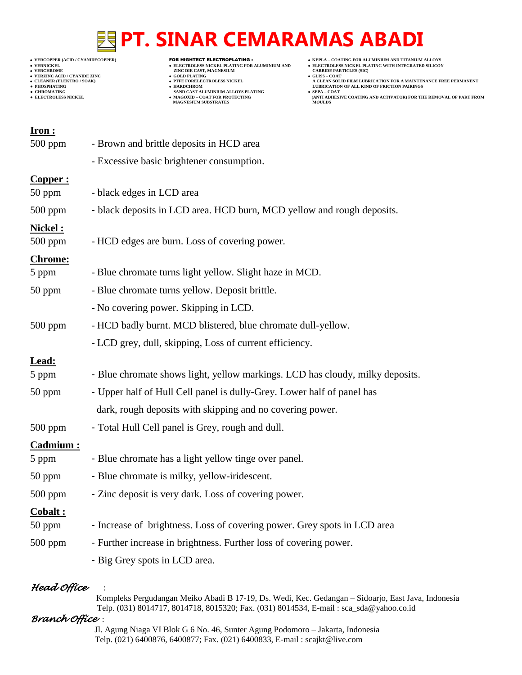- 
- 
- 

- **VERCHROLES NICKEL PLATING FOR ALUMINIUM AND**<br> **VELECTROLES NICKEL PLATING FOR ALUMINIUM AND**<br> **VERCHROLES (SILD)**<br> **CARBIDE PARTING**<br> **CARBIDE PARTING**
- **v GOLD PLATING**<br>**• PTFE FORELECTROLESS NICKEL**
- 
- **● CHROMATING SAND CAST ALUMINIUM ALLOYS PLATING SEPA – COAT MAGNESIUM SUBSTRATES MOULDS**
- **VERCOPPER (ACID / CYANIDECOPPER)** FOR HIGHTECT ELECTROPLATING :  **KEPLA – COATING FOR ALUMINIUM AND TITANIUM ALLOYS**
	-
- **VERNICKEL ELECTROLESS NICKEL PLATING FOR ALUMINIUM AND ELECTROLESS NICKEL PLATING WITH INTEGRATED SILICON CLEANER (ELEKTRO / SOAK) PTFE FORELECTROLESS NICKEL A CLEAN SOLID FILM LUBRICATION FOR A MAINTENANCE FREE PERMANENT**
- **PHOSPHATING HARDCHROM LUBRICATION OF ALL KIND OF FRICTION PAIRINGS** 
	- **• SEPA COAT**<br> **•** SEPA COAT FOR COATING AND ACTIVATOR) FOR THE REMOVAL OF PART FROM MOULDS

| - black deposits in LCD area. HCD burn, MCD yellow and rough deposits.        |
|-------------------------------------------------------------------------------|
|                                                                               |
|                                                                               |
|                                                                               |
|                                                                               |
|                                                                               |
|                                                                               |
|                                                                               |
|                                                                               |
|                                                                               |
| - HCD badly burnt. MCD blistered, blue chromate dull-yellow.                  |
|                                                                               |
|                                                                               |
| - Blue chromate shows light, yellow markings. LCD has cloudy, milky deposits. |
| - Upper half of Hull Cell panel is dully-Grey. Lower half of panel has        |
| dark, rough deposits with skipping and no covering power.                     |
|                                                                               |
|                                                                               |
|                                                                               |
|                                                                               |
|                                                                               |
|                                                                               |
|                                                                               |
| - Increase of brightness. Loss of covering power. Grey spots in LCD area      |
| - Further increase in brightness. Further loss of covering power.             |
|                                                                               |

## *Head Office* :

 Kompleks Pergudangan Meiko Abadi B 17-19, Ds. Wedi, Kec. Gedangan – Sidoarjo, East Java, Indonesia Telp. (031) 8014717, 8014718, 8015320; Fax. (031) 8014534, E-mail : sca\_sda@yahoo.co.id

### *Branch Office* :